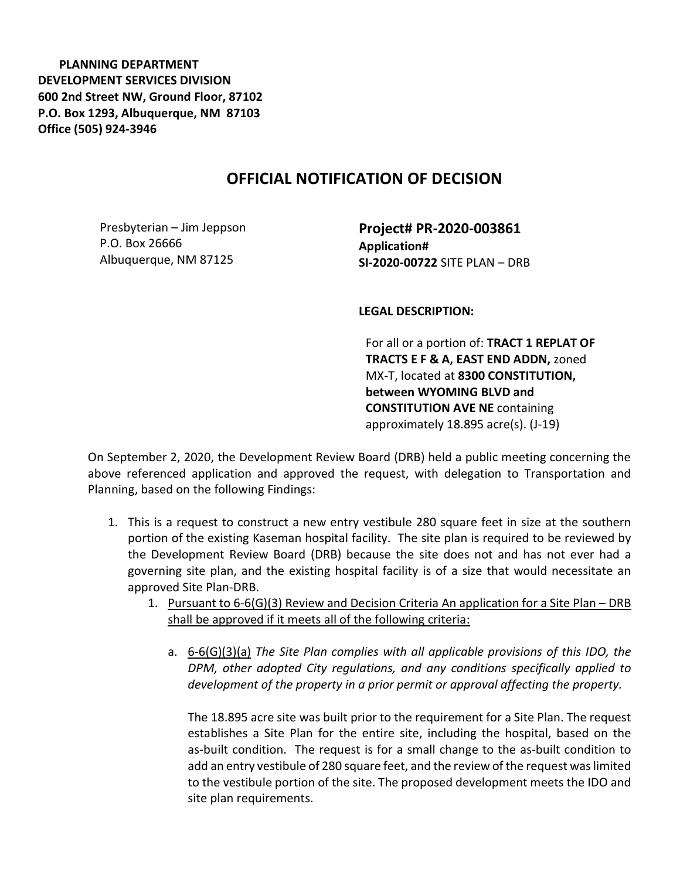PLANNING DEPARTMENT DEVELOPMENT SERVICES DIVISION 600 2nd Street NW, Ground Floor, 87102 P.O. Box 1293, Albuquerque, NM 87103 Office (505) 924-3946

## OFFICIAL NOTIFICATION OF DECISION

Presbyterian – Jim Jeppson P.O. Box 26666 Albuquerque, NM 87125

Project# PR-2020-003861 Application# SI-2020-00722 SITE PLAN – DRB

LEGAL DESCRIPTION:

For all or a portion of: TRACT 1 REPLAT OF TRACTS E F & A, EAST END ADDN, zoned MX-T, located at 8300 CONSTITUTION, between WYOMING BLVD and CONSTITUTION AVE NE containing approximately 18.895 acre(s). (J-19)

On September 2, 2020, the Development Review Board (DRB) held a public meeting concerning the above referenced application and approved the request, with delegation to Transportation and Planning, based on the following Findings:

- 1. This is a request to construct a new entry vestibule 280 square feet in size at the southern portion of the existing Kaseman hospital facility. The site plan is required to be reviewed by the Development Review Board (DRB) because the site does not and has not ever had a governing site plan, and the existing hospital facility is of a size that would necessitate an approved Site Plan-DRB.
	- 1. Pursuant to 6-6(G)(3) Review and Decision Criteria An application for a Site Plan DRB shall be approved if it meets all of the following criteria:
		- a. 6-6(G)(3)(a) The Site Plan complies with all applicable provisions of this IDO, the DPM, other adopted City regulations, and any conditions specifically applied to development of the property in a prior permit or approval affecting the property.

The 18.895 acre site was built prior to the requirement for a Site Plan. The request establishes a Site Plan for the entire site, including the hospital, based on the as-built condition. The request is for a small change to the as-built condition to add an entry vestibule of 280 square feet, and the review of the request was limited to the vestibule portion of the site. The proposed development meets the IDO and site plan requirements.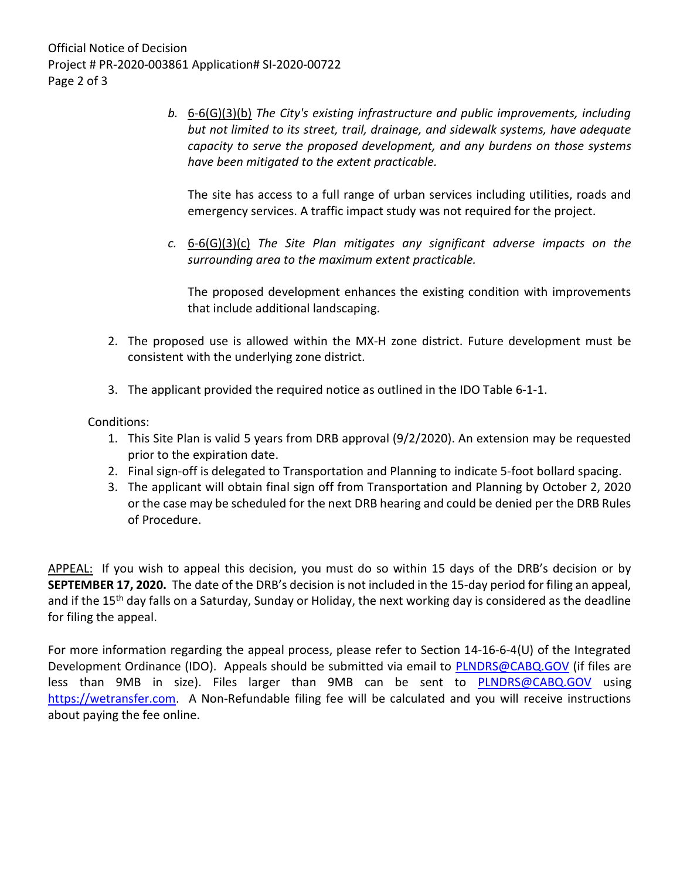Official Notice of Decision Project # PR-2020-003861 Application# SI-2020-00722 Page 2 of 3

> b. 6-6(G)(3)(b) The City's existing infrastructure and public improvements, including but not limited to its street, trail, drainage, and sidewalk systems, have adequate capacity to serve the proposed development, and any burdens on those systems have been mitigated to the extent practicable.

The site has access to a full range of urban services including utilities, roads and emergency services. A traffic impact study was not required for the project.

c.  $6-6(G)(3)(c)$  The Site Plan mitigates any significant adverse impacts on the surrounding area to the maximum extent practicable.

The proposed development enhances the existing condition with improvements that include additional landscaping.

- 2. The proposed use is allowed within the MX-H zone district. Future development must be consistent with the underlying zone district.
- 3. The applicant provided the required notice as outlined in the IDO Table 6-1-1.

## Conditions:

- 1. This Site Plan is valid 5 years from DRB approval (9/2/2020). An extension may be requested prior to the expiration date.
- 2. Final sign-off is delegated to Transportation and Planning to indicate 5-foot bollard spacing.
- 3. The applicant will obtain final sign off from Transportation and Planning by October 2, 2020 or the case may be scheduled for the next DRB hearing and could be denied per the DRB Rules of Procedure.

APPEAL: If you wish to appeal this decision, you must do so within 15 days of the DRB's decision or by SEPTEMBER 17, 2020. The date of the DRB's decision is not included in the 15-day period for filing an appeal, and if the 15<sup>th</sup> day falls on a Saturday, Sunday or Holiday, the next working day is considered as the deadline for filing the appeal.

For more information regarding the appeal process, please refer to Section 14-16-6-4(U) of the Integrated Development Ordinance (IDO). Appeals should be submitted via email to PLNDRS@CABQ.GOV (if files are less than 9MB in size). Files larger than 9MB can be sent to PLNDRS@CABQ.GOV using https://wetransfer.com. A Non-Refundable filing fee will be calculated and you will receive instructions about paying the fee online.